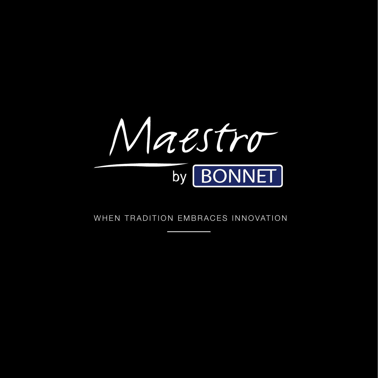

WHEN TRADITION EMBRACES INNOVATION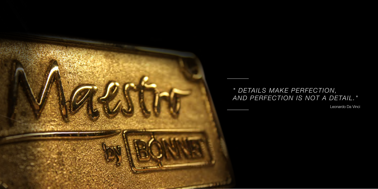

# *" DETAILS MAKE PERFECTION, AND PERFECTION IS NOT A DETAIL."*

Leonardo Da Vinci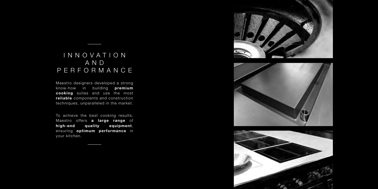

## INNOVATION AND PERFORMANCE

Maestro designers developed a strong know-how in building premium cooking suites and use the most reliable components and construction techniques, unparalleled in the market.

To achieve the best cooking results, Maestro offers a large range of high-end quality equipment, ensuring optimum performance in your kitchen.



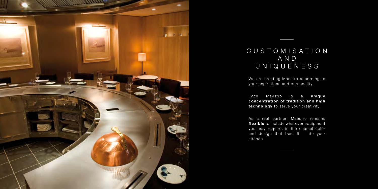

# CUSTOMISATION AND UNIQUENESS

We are creating Maestro according to your aspirations and personality.

Each Maestro is a unique concentration of tradition and high technology to serve your creativity.

As a real partner, Maestro remains flexible to include whatever equipment you may require, in the enamel color and design that best fit into your kitchen.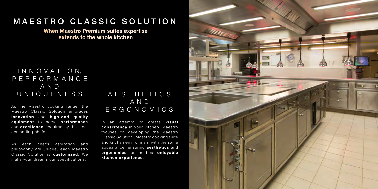#### I N N O V A T I O N, PERFORMANCE A N D UNIQUENESS

As the Maestro cooking range, the Maestro Classic Solution embraces innovation and high-end quality equipment to serve performance and **excellence**, required by the most demanding chefs.

## **AESTHETICS** AND ERGONOMICS

As each chef's aspiration and philosophy are unique, each Maestro Classic Solution is customized. We make your dreams our specifications.

In an attempt to create **visual** consistency in your kitchen, Maestro focuses on developing the Maestro Classic Solution : Maestro cooking suite and kitchen environment with the same appearance, ensuring **aesthetics** and ergonomics for the best enjoyable kitchen experience.



# MAESTRO CLASSIC SOLUTION

When Maestro Premium suites expertise extends to the whole kitchen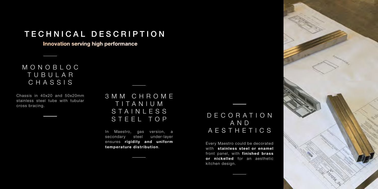## DECORATION A N D AESTHETICS

Every Maestro could be decorated with stainless steel or enamel front panel, with finished brass or nickelled for an aesthetic kitchen design.



# TECHNICAL DESCRIPTION

Innovation serving high performance

#### MONOBLOC TUBULAR CHASSIS

Chassis in 40x20 and 50x20mm stainless steel tube with tubular cross bracing.

3 M M C H R O M E T I T A N I U M STAINLESS STEEL TOP

In Maestro, gas version, a secondary steel under-layer ensures rigidity and uniform temperature distribution.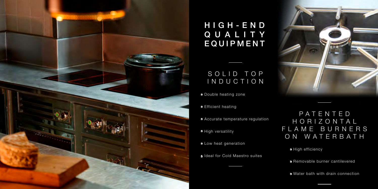## SOLID TOP INDUCTION

## P A T E N T E D H O R I Z O N T A L F L A M E B U R N E R S ON WATERBATH

- High efficiency
- Removable burner cantilevered
- Water bath with drain connection
- Double heating zone
- **•** Efficient heating
- Accurate temperature regulation
- High versatility
- Low heat generation
- **1** Ideal for Cold Maestro suites





# H I G H - E N D QUALITY EQUIPMENT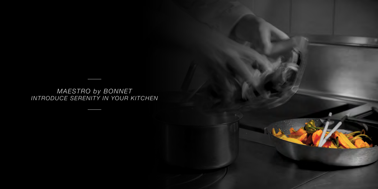*MAESTRO by BONNET INTRODUCE SERENITY IN YOUR KITCHEN*